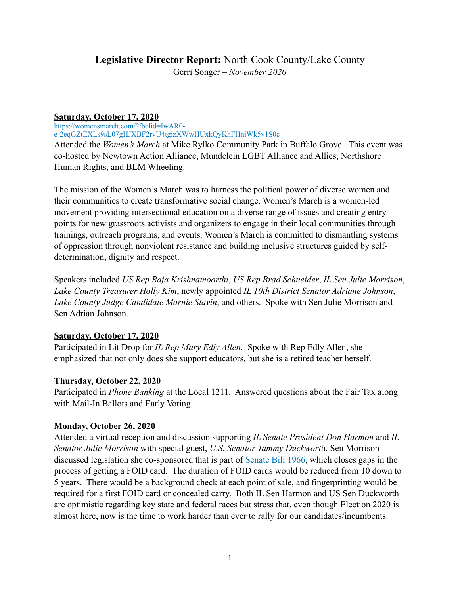# **Legislative Director Report:** North Cook County/Lake County Gerri Songer – *November 2020*

### **Saturday, October 17, 2020**

https://womensmarch.com/?fbclid=IwAR0-

e-2eqGZtEXLs9sL07gHJXBF2rvU4tgizXWwHUxkQyKhFHniWk5v1S0c

Attended the *Women's March* at Mike Rylko Community Park in Buffalo Grove. This event was co-hosted by Newtown Action Alliance, Mundelein LGBT Alliance and Allies, Northshore Human Rights, and BLM Wheeling.

The mission of the Women's March was to harness the political power of diverse women and their communities to create transformative social change. Women's March is a women-led movement providing intersectional education on a diverse range of issues and creating entry points for new grassroots activists and organizers to engage in their local communities through trainings, outreach programs, and events. Women's March is committed to dismantling systems of oppression through nonviolent resistance and building inclusive structures guided by selfdetermination, dignity and respect.

Speakers included *US Rep Raja Krishnamoorthi*, *US Rep Brad Schneider*, *IL Sen Julie Morrison*, *Lake County Treasurer Holly Kim*, newly appointed *IL 10th District Senator Adriane Johnson*, *Lake County Judge Candidate Marnie Slavin*, and others. Spoke with Sen Julie Morrison and Sen Adrian Johnson.

# **Saturday, October 17, 2020**

Participated in Lit Drop for *IL Rep Mary Edly Allen*. Spoke with Rep Edly Allen, she emphasized that not only does she support educators, but she is a retired teacher herself.

# **Thursday, October 22, 2020**

Participated in *Phone Banking* at the Local 1211. Answered questions about the Fair Tax along with Mail-In Ballots and Early Voting.

# **Monday, October 26, 2020**

Attended a virtual reception and discussion supporting *IL Senate President Don Harmon* and *IL Senator Julie Morrison* with special guest, *U.S. Senator Tammy Duckwort*h. Sen Morrison discussed legislation she co-sponsored that is part of Senate Bill 1966, which closes gaps in the process of getting a FOID card. The duration of FOID cards would be reduced from 10 down to 5 years. There would be a background check at each point of sale, and fingerprinting would be required for a first FOID card or concealed carry. Both IL Sen Harmon and US Sen Duckworth are optimistic regarding key state and federal races but stress that, even though Election 2020 is almost here, now is the time to work harder than ever to rally for our candidates/incumbents.